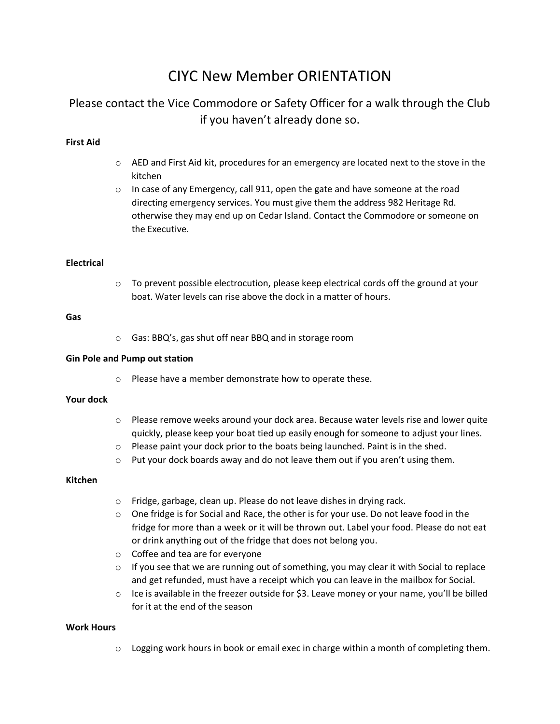# CIYC New Member ORIENTATION

# Please contact the Vice Commodore or Safety Officer for a walk through the Club if you haven't already done so.

# **First Aid**

- $\circ$  AED and First Aid kit, procedures for an emergency are located next to the stove in the kitchen
- $\circ$  In case of any Emergency, call 911, open the gate and have someone at the road directing emergency services. You must give them the address 982 Heritage Rd. otherwise they may end up on Cedar Island. Contact the Commodore or someone on the Executive.

### **Electrical**

 $\circ$  To prevent possible electrocution, please keep electrical cords off the ground at your boat. Water levels can rise above the dock in a matter of hours.

#### **Gas**

o Gas: BBQ's, gas shut off near BBQ and in storage room

#### **Gin Pole and Pump out station**

o Please have a member demonstrate how to operate these.

#### **Your dock**

- $\circ$  Please remove weeks around your dock area. Because water levels rise and lower quite quickly, please keep your boat tied up easily enough for someone to adjust your lines.
- o Please paint your dock prior to the boats being launched. Paint is in the shed.
- o Put your dock boards away and do not leave them out if you aren't using them.

#### **Kitchen**

- o Fridge, garbage, clean up. Please do not leave dishes in drying rack.
- $\circ$  One fridge is for Social and Race, the other is for your use. Do not leave food in the fridge for more than a week or it will be thrown out. Label your food. Please do not eat or drink anything out of the fridge that does not belong you.
- o Coffee and tea are for everyone
- $\circ$  If you see that we are running out of something, you may clear it with Social to replace and get refunded, must have a receipt which you can leave in the mailbox for Social.
- $\circ$  Ice is available in the freezer outside for \$3. Leave money or your name, you'll be billed for it at the end of the season

#### **Work Hours**

 $\circ$  Logging work hours in book or email exec in charge within a month of completing them.